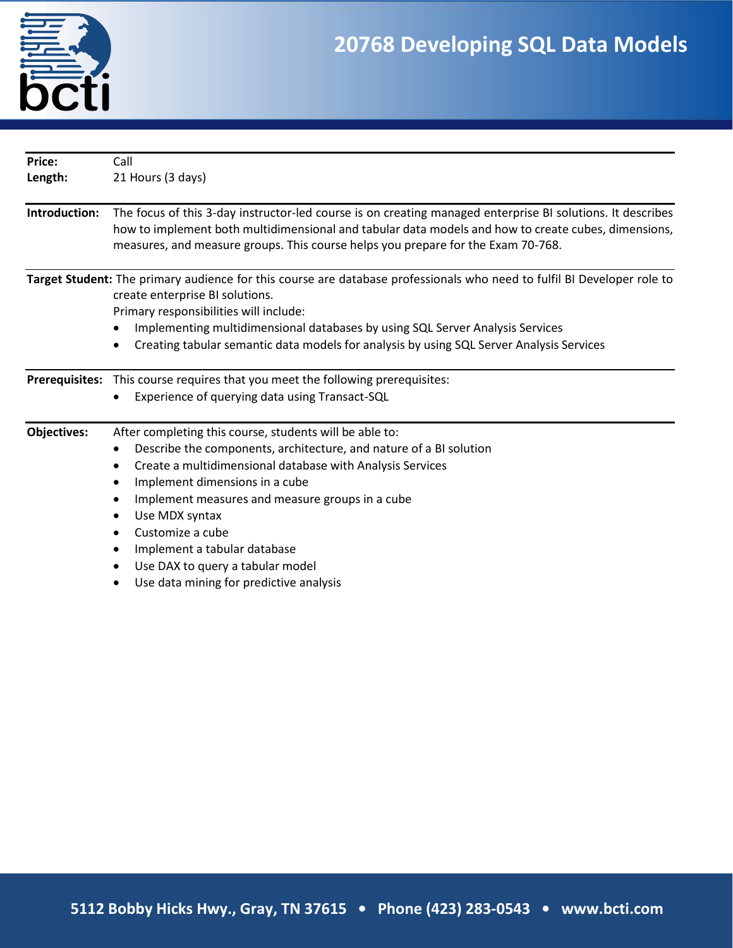

| Price:             | Call                                                                                                                                                                                                                                                                                                  |  |  |  |
|--------------------|-------------------------------------------------------------------------------------------------------------------------------------------------------------------------------------------------------------------------------------------------------------------------------------------------------|--|--|--|
| Length:            | 21 Hours (3 days)                                                                                                                                                                                                                                                                                     |  |  |  |
| Introduction:      | The focus of this 3-day instructor-led course is on creating managed enterprise BI solutions. It describes<br>how to implement both multidimensional and tabular data models and how to create cubes, dimensions,<br>measures, and measure groups. This course helps you prepare for the Exam 70-768. |  |  |  |
|                    | Target Student: The primary audience for this course are database professionals who need to fulfil BI Developer role to<br>create enterprise BI solutions.<br>Primary responsibilities will include:                                                                                                  |  |  |  |
|                    | Implementing multidimensional databases by using SQL Server Analysis Services                                                                                                                                                                                                                         |  |  |  |
|                    | Creating tabular semantic data models for analysis by using SQL Server Analysis Services                                                                                                                                                                                                              |  |  |  |
|                    | Prerequisites: This course requires that you meet the following prerequisites:                                                                                                                                                                                                                        |  |  |  |
|                    | Experience of querying data using Transact-SQL<br>٠                                                                                                                                                                                                                                                   |  |  |  |
| <b>Objectives:</b> | After completing this course, students will be able to:                                                                                                                                                                                                                                               |  |  |  |
|                    | Describe the components, architecture, and nature of a BI solution                                                                                                                                                                                                                                    |  |  |  |
|                    | Create a multidimensional database with Analysis Services<br>$\bullet$                                                                                                                                                                                                                                |  |  |  |
|                    | Implement dimensions in a cube                                                                                                                                                                                                                                                                        |  |  |  |
|                    | Implement measures and measure groups in a cube                                                                                                                                                                                                                                                       |  |  |  |
|                    | Use MDX syntax                                                                                                                                                                                                                                                                                        |  |  |  |
|                    | Customize a cube                                                                                                                                                                                                                                                                                      |  |  |  |
|                    | Implement a tabular database                                                                                                                                                                                                                                                                          |  |  |  |
|                    | Use DAX to query a tabular model                                                                                                                                                                                                                                                                      |  |  |  |
|                    | Use data mining for predictive analysis                                                                                                                                                                                                                                                               |  |  |  |